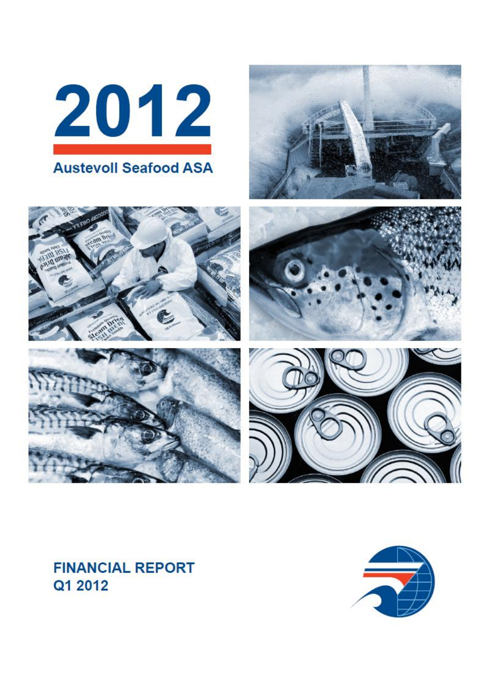









# **FINANCIAL REPORT** Q1 2012

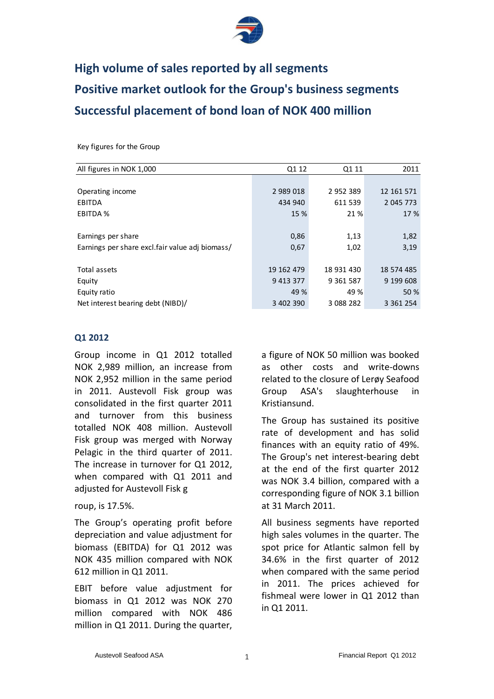

# **High volume of sales reported by all segments Positive market outlook for the Group's business segments Successful placement of bond loan of NOK 400 million**

Key figures for the Group

| All figures in NOK 1,000                        | Q1 12        | Q1 11         | 2011          |
|-------------------------------------------------|--------------|---------------|---------------|
|                                                 |              |               |               |
| Operating income                                | 2 989 018    | 2 9 5 2 3 8 9 | 12 161 571    |
| EBITDA                                          | 434 940      | 611 539       | 2 045 773     |
| <b>EBITDA %</b>                                 | 15 %         | 21 %          | 17 %          |
|                                                 |              |               |               |
| Earnings per share                              | 0,86         | 1,13          | 1,82          |
| Earnings per share excl.fair value adj biomass/ | 0,67         | 1,02          | 3,19          |
|                                                 |              |               |               |
| Total assets                                    | 19 162 479   | 18 931 430    | 18 574 485    |
| Equity                                          | 9 4 13 3 7 7 | 9 3 6 1 5 8 7 | 9 199 608     |
| Equity ratio                                    | 49 %         | 49 %          | 50 %          |
| Net interest bearing debt (NIBD)/               | 3 402 390    | 3 088 282     | 3 3 6 1 2 5 4 |

#### **Q1 2012**

Group income in Q1 2012 totalled NOK 2,989 million, an increase from NOK 2,952 million in the same period in 2011. Austevoll Fisk group was consolidated in the first quarter 2011 and turnover from this business totalled NOK 408 million. Austevoll Fisk group was merged with Norway Pelagic in the third quarter of 2011. The increase in turnover for Q1 2012, when compared with Q1 2011 and adjusted for Austevoll Fisk g

#### roup, is 17.5%.

The Group's operating profit before depreciation and value adjustment for biomass (EBITDA) for Q1 2012 was NOK 435 million compared with NOK 612 million in Q1 2011.

EBIT before value adjustment for biomass in Q1 2012 was NOK 270 million compared with NOK 486 million in Q1 2011. During the quarter,

a figure of NOK 50 million was booked as other costs and write-downs related to the closure of Lerøy Seafood Group ASA's slaughterhouse in Kristiansund.

The Group has sustained its positive rate of development and has solid finances with an equity ratio of 49%. The Group's net interest-bearing debt at the end of the first quarter 2012 was NOK 3.4 billion, compared with a corresponding figure of NOK 3.1 billion at 31 March 2011.

All business segments have reported high sales volumes in the quarter. The spot price for Atlantic salmon fell by 34.6% in the first quarter of 2012 when compared with the same period in 2011. The prices achieved for fishmeal were lower in Q1 2012 than in Q1 2011.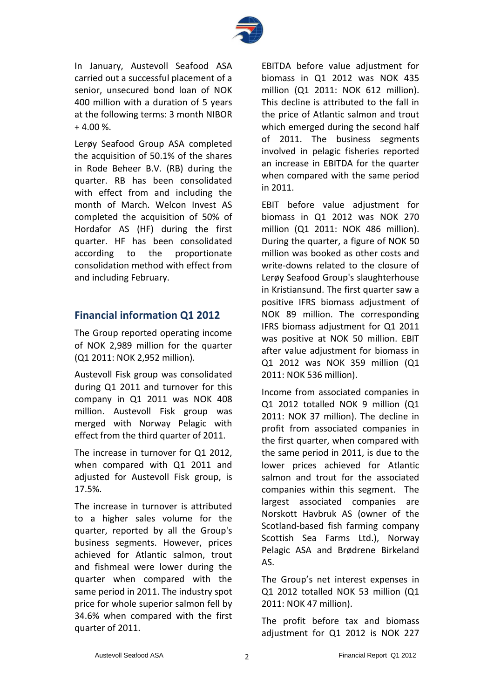

In January, Austevoll Seafood ASA carried out a successful placement of a senior, unsecured bond loan of NOK 400 million with a duration of 5 years at the following terms: 3 month NIBOR + 4.00 %.

Lerøy Seafood Group ASA completed the acquisition of 50.1% of the shares in Rode Beheer B.V. (RB) during the quarter. RB has been consolidated with effect from and including the month of March. Welcon Invest AS completed the acquisition of 50% of Hordafor AS (HF) during the first quarter. HF has been consolidated according to the proportionate consolidation method with effect from and including February.

## **Financial information Q1 2012**

The Group reported operating income of NOK 2,989 million for the quarter (Q1 2011: NOK 2,952 million).

Austevoll Fisk group was consolidated during Q1 2011 and turnover for this company in Q1 2011 was NOK 408 million. Austevoll Fisk group was merged with Norway Pelagic with effect from the third quarter of 2011.

The increase in turnover for Q1 2012, when compared with Q1 2011 and adjusted for Austevoll Fisk group, is 17.5%.

The increase in turnover is attributed to a higher sales volume for the quarter, reported by all the Group's business segments. However, prices achieved for Atlantic salmon, trout and fishmeal were lower during the quarter when compared with the same period in 2011. The industry spot price for whole superior salmon fell by 34.6% when compared with the first quarter of 2011.

EBITDA before value adjustment for biomass in Q1 2012 was NOK 435 million (Q1 2011: NOK 612 million). This decline is attributed to the fall in the price of Atlantic salmon and trout which emerged during the second half of 2011. The business segments involved in pelagic fisheries reported an increase in EBITDA for the quarter when compared with the same period in 2011.

EBIT before value adjustment for biomass in Q1 2012 was NOK 270 million (Q1 2011: NOK 486 million). During the quarter, a figure of NOK 50 million was booked as other costs and write-downs related to the closure of Lerøy Seafood Group's slaughterhouse in Kristiansund. The first quarter saw a positive IFRS biomass adjustment of NOK 89 million. The corresponding IFRS biomass adjustment for Q1 2011 was positive at NOK 50 million. EBIT after value adjustment for biomass in Q1 2012 was NOK 359 million (Q1 2011: NOK 536 million).

Income from associated companies in Q1 2012 totalled NOK 9 million (Q1 2011: NOK 37 million). The decline in profit from associated companies in the first quarter, when compared with the same period in 2011, is due to the lower prices achieved for Atlantic salmon and trout for the associated companies within this segment. The largest associated companies are Norskott Havbruk AS (owner of the Scotland-based fish farming company Scottish Sea Farms Ltd.), Norway Pelagic ASA and Brødrene Birkeland AS.

The Group's net interest expenses in Q1 2012 totalled NOK 53 million (Q1 2011: NOK 47 million).

The profit before tax and biomass adjustment for Q1 2012 is NOK 227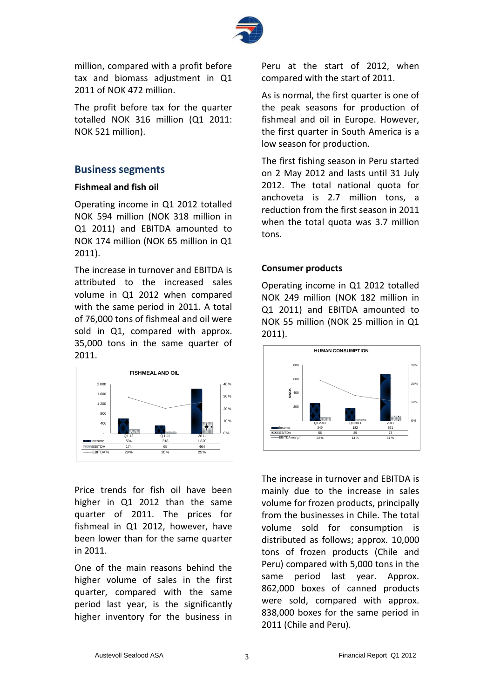

million, compared with a profit before tax and biomass adjustment in Q1 2011 of NOK 472 million.

The profit before tax for the quarter totalled NOK 316 million (Q1 2011: NOK 521 million).

#### **Business segments**

#### **Fishmeal and fish oil**

Operating income in Q1 2012 totalled NOK 594 million (NOK 318 million in Q1 2011) and EBITDA amounted to NOK 174 million (NOK 65 million in Q1 2011).

The increase in turnover and EBITDA is attributed to the increased sales volume in Q1 2012 when compared with the same period in 2011. A total of 76,000 tons of fishmeal and oil were sold in Q1, compared with approx. 35,000 tons in the same quarter of 2011.



Price trends for fish oil have been higher in Q1 2012 than the same quarter of 2011. The prices for fishmeal in Q1 2012, however, have been lower than for the same quarter in 2011.

One of the main reasons behind the higher volume of sales in the first quarter, compared with the same period last year, is the significantly higher inventory for the business in Peru at the start of 2012, when compared with the start of 2011.

As is normal, the first quarter is one of the peak seasons for production of fishmeal and oil in Europe. However, the first quarter in South America is a low season for production.

The first fishing season in Peru started on 2 May 2012 and lasts until 31 July 2012. The total national quota for anchoveta is 2.7 million tons, a reduction from the first season in 2011 when the total quota was 3.7 million tons.

#### **Consumer products**

Operating income in Q1 2012 totalled NOK 249 million (NOK 182 million in Q1 2011) and EBITDA amounted to NOK 55 million (NOK 25 million in Q1 2011).



The increase in turnover and EBITDA is mainly due to the increase in sales volume for frozen products, principally from the businesses in Chile. The total volume sold for consumption is distributed as follows; approx. 10,000 tons of frozen products (Chile and Peru) compared with 5,000 tons in the same period last year. Approx. 862,000 boxes of canned products were sold, compared with approx. 838,000 boxes for the same period in 2011 (Chile and Peru).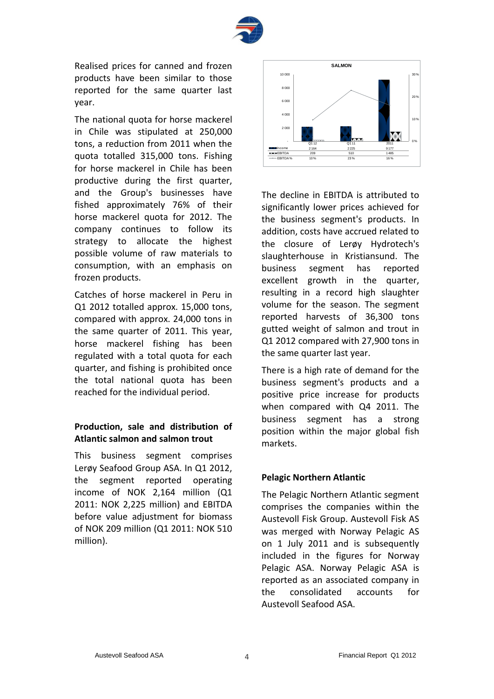

Realised prices for canned and frozen products have been similar to those reported for the same quarter last year.

The national quota for horse mackerel in Chile was stipulated at 250,000 tons, a reduction from 2011 when the quota totalled 315,000 tons. Fishing for horse mackerel in Chile has been productive during the first quarter, and the Group's businesses have fished approximately 76% of their horse mackerel quota for 2012. The company continues to follow its strategy to allocate the highest possible volume of raw materials to consumption, with an emphasis on frozen products.

Catches of horse mackerel in Peru in Q1 2012 totalled approx. 15,000 tons, compared with approx. 24,000 tons in the same quarter of 2011. This year, horse mackerel fishing has been regulated with a total quota for each quarter, and fishing is prohibited once the total national quota has been reached for the individual period.

## **Production, sale and distribution of Atlantic salmon and salmon trout**

This business segment comprises Lerøy Seafood Group ASA. In Q1 2012, the segment reported operating income of NOK 2,164 million (Q1 2011: NOK 2,225 million) and EBITDA before value adjustment for biomass of NOK 209 million (Q1 2011: NOK 510 million).



The decline in EBITDA is attributed to significantly lower prices achieved for the business segment's products. In addition, costs have accrued related to the closure of Lerøy Hydrotech's slaughterhouse in Kristiansund. The business segment has reported excellent growth in the quarter, resulting in a record high slaughter volume for the season. The segment reported harvests of 36,300 tons gutted weight of salmon and trout in Q1 2012 compared with 27,900 tons in the same quarter last year.

There is a high rate of demand for the business segment's products and a positive price increase for products when compared with Q4 2011. The business segment has a strong position within the major global fish markets.

#### **Pelagic Northern Atlantic**

The Pelagic Northern Atlantic segment comprises the companies within the Austevoll Fisk Group. Austevoll Fisk AS was merged with Norway Pelagic AS on 1 July 2011 and is subsequently included in the figures for Norway Pelagic ASA. Norway Pelagic ASA is reported as an associated company in the consolidated accounts for Austevoll Seafood ASA.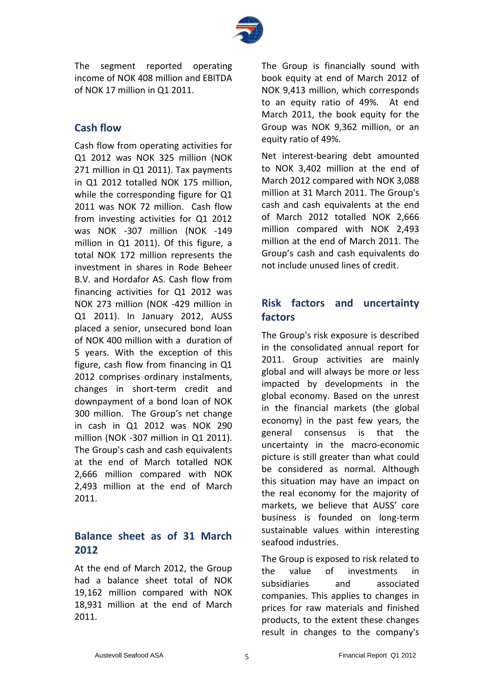

The segment reported operating income of NOK 408 million and EBITDA of NOK 17 million in Q1 2011.

## **Cash flow**

Cash flow from operating activities for Q1 2012 was NOK 325 million (NOK 271 million in Q1 2011). Tax payments in Q1 2012 totalled NOK 175 million, while the corresponding figure for Q1 2011 was NOK 72 million. Cash flow from investing activities for Q1 2012 was NOK -307 million (NOK -149 million in Q1 2011). Of this figure, a total NOK 172 million represents the investment in shares in Rode Beheer B.V. and Hordafor AS. Cash flow from financing activities for Q1 2012 was NOK 273 million (NOK -429 million in Q1 2011). In January 2012, AUSS placed a senior, unsecured bond loan of NOK 400 million with a duration of 5 years. With the exception of this figure, cash flow from financing in Q1 2012 comprises ordinary instalments, changes in short-term credit and downpayment of a bond loan of NOK 300 million. The Group's net change in cash in Q1 2012 was NOK 290 million (NOK -307 million in Q1 2011). The Group's cash and cash equivalents at the end of March totalled NOK 2,666 million compared with NOK 2,493 million at the end of March 2011.

## **Balance sheet as of 31 March 2012**

At the end of March 2012, the Group had a balance sheet total of NOK 19,162 million compared with NOK 18,931 million at the end of March 2011.

The Group is financially sound with book equity at end of March 2012 of NOK 9,413 million, which corresponds to an equity ratio of 49%. At end March 2011, the book equity for the Group was NOK 9,362 million, or an equity ratio of 49%.

Net interest-bearing debt amounted to NOK 3,402 million at the end of March 2012 compared with NOK 3,088 million at 31 March 2011. The Group's cash and cash equivalents at the end of March 2012 totalled NOK 2,666 million compared with NOK 2,493 million at the end of March 2011. The Group's cash and cash equivalents do not include unused lines of credit.

## **Risk factors and uncertainty factors**

The Group's risk exposure is described in the consolidated annual report for 2011. Group activities are mainly global and will always be more or less impacted by developments in the global economy. Based on the unrest in the financial markets (the global economy) in the past few years, the general consensus is that the uncertainty in the macro-economic picture is still greater than what could be considered as normal. Although this situation may have an impact on the real economy for the majority of markets, we believe that AUSS' core business is founded on long-term sustainable values within interesting seafood industries.

The Group is exposed to risk related to the value of investments in subsidiaries and associated companies. This applies to changes in prices for raw materials and finished products, to the extent these changes result in changes to the company's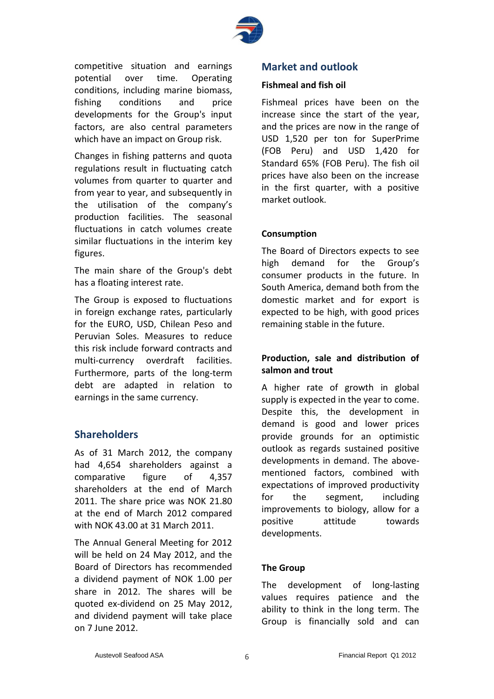

competitive situation and earnings potential over time. Operating conditions, including marine biomass, fishing conditions and price developments for the Group's input factors, are also central parameters which have an impact on Group risk.

Changes in fishing patterns and quota regulations result in fluctuating catch volumes from quarter to quarter and from year to year, and subsequently in the utilisation of the company's production facilities. The seasonal fluctuations in catch volumes create similar fluctuations in the interim key figures.

The main share of the Group's debt has a floating interest rate.

The Group is exposed to fluctuations in foreign exchange rates, particularly for the EURO, USD, Chilean Peso and Peruvian Soles. Measures to reduce this risk include forward contracts and multi-currency overdraft facilities. Furthermore, parts of the long-term debt are adapted in relation to earnings in the same currency.

## **Shareholders**

As of 31 March 2012, the company had 4,654 shareholders against a comparative figure of 4,357 shareholders at the end of March 2011. The share price was NOK 21.80 at the end of March 2012 compared with NOK 43.00 at 31 March 2011.

The Annual General Meeting for 2012 will be held on 24 May 2012, and the Board of Directors has recommended a dividend payment of NOK 1.00 per share in 2012. The shares will be quoted ex-dividend on 25 May 2012, and dividend payment will take place on 7 June 2012.

### **Market and outlook**

#### **Fishmeal and fish oil**

Fishmeal prices have been on the increase since the start of the year, and the prices are now in the range of USD 1,520 per ton for SuperPrime (FOB Peru) and USD 1,420 for Standard 65% (FOB Peru). The fish oil prices have also been on the increase in the first quarter, with a positive market outlook.

#### **Consumption**

The Board of Directors expects to see high demand for the Group's consumer products in the future. In South America, demand both from the domestic market and for export is expected to be high, with good prices remaining stable in the future.

#### **Production, sale and distribution of salmon and trout**

A higher rate of growth in global supply is expected in the year to come. Despite this, the development in demand is good and lower prices provide grounds for an optimistic outlook as regards sustained positive developments in demand. The abovementioned factors, combined with expectations of improved productivity for the segment, including improvements to biology, allow for a positive attitude towards developments.

#### **The Group**

The development of long-lasting values requires patience and the ability to think in the long term. The Group is financially sold and can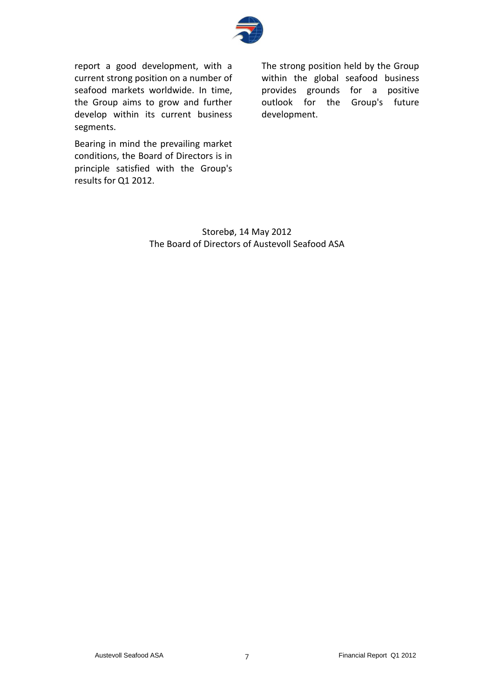

report a good development, with a current strong position on a number of seafood markets worldwide. In time, the Group aims to grow and further develop within its current business segments.

Bearing in mind the prevailing market conditions, the Board of Directors is in principle satisfied with the Group's results for Q1 2012.

The strong position held by the Group within the global seafood business provides grounds for a positive outlook for the Group's future development.

Storebø, 14 May 2012 The Board of Directors of Austevoll Seafood ASA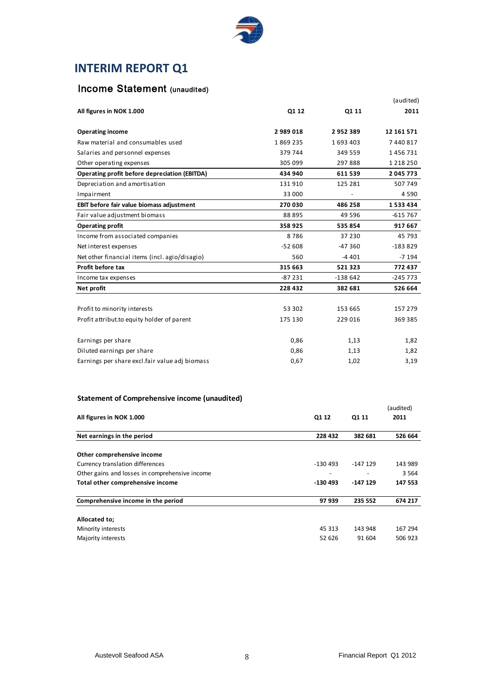

## **INTERIM REPORT Q1**

## Income Statement (unaudited)

| All figures in NOK 1.000                             | Q1 12    | Q1 11     | (audited)<br>2011 |
|------------------------------------------------------|----------|-----------|-------------------|
|                                                      |          |           |                   |
| <b>Operating income</b>                              | 2989018  | 2952389   | 12 161 571        |
| Raw material and consumables used                    | 1869235  | 1693403   | 7440817           |
| Salaries and personnel expenses                      | 379744   | 349 559   | 1456731           |
| Other operating expenses                             | 305 099  | 297888    | 1 2 1 8 2 5 0     |
| <b>Operating profit before depreciation (EBITDA)</b> | 434 940  | 611 539   | 2 045 773         |
| Depreciation and amortisation                        | 131910   | 125 281   | 507 749           |
| Impairment                                           | 33 000   |           | 4590              |
| EBIT before fair value biomass adjustment            | 270 030  | 486 258   | 1533434           |
| Fair value adjustment biomass                        | 88 895   | 49 5 9 6  | $-615767$         |
| <b>Operating profit</b>                              | 358 925  | 535 854   | 917 667           |
| Income from associated companies                     | 8786     | 37 230    | 45 793            |
| Net interest expenses                                | $-52608$ | $-47360$  | $-183829$         |
| Net other financial items (incl. agio/disagio)       | 560      | $-4401$   | $-7194$           |
| Profit before tax                                    | 315 663  | 521323    | 772437            |
| Income tax expenses                                  | $-87231$ | $-138642$ | $-245773$         |
| Net profit                                           | 228 432  | 382 681   | 526 664           |
|                                                      |          |           |                   |
| Profit to minority interests                         | 53 302   | 153 665   | 157 279           |
| Profit attribut.to equity holder of parent           | 175 130  | 229 016   | 369 385           |
| Earnings per share                                   | 0,86     | 1,13      | 1,82              |
| Diluted earnings per share                           | 0,86     | 1,13      | 1,82              |
| Earnings per share excl.fair value adj biomass       | 0,67     | 1,02      | 3,19              |

#### **Statement of Comprehensive income (unaudited)**

| <u>atatement or administration te madrid (andalitea)</u> |           |           |           |  |
|----------------------------------------------------------|-----------|-----------|-----------|--|
|                                                          |           |           | (audited) |  |
| All figures in NOK 1.000                                 | Q1 12     | Q1 11     | 2011      |  |
| Net earnings in the period                               | 228 432   | 382 681   | 526 664   |  |
|                                                          |           |           |           |  |
| Other comprehensive income                               |           |           |           |  |
| Currency translation differences                         | $-130493$ | $-147129$ | 143 989   |  |
| Other gains and losses in comprehensive income           | -         |           | 3 5 6 4   |  |
| Total other comprehensive income                         | -130 493  | $-147129$ | 147 553   |  |
| Comprehensive income in the period                       | 97 939    | 235 552   | 674 217   |  |
| Allocated to:                                            |           |           |           |  |
| Minority interests                                       | 45 313    | 143 948   | 167 294   |  |
| Majority interests                                       | 52 626    | 91 604    | 506 923   |  |
|                                                          |           |           |           |  |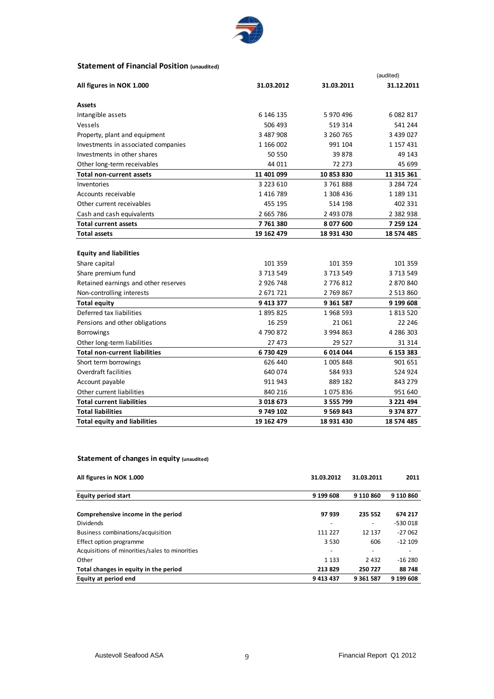

#### **Statement of Financial Position (unaudited)**

|                                      |               |               | (audited)  |
|--------------------------------------|---------------|---------------|------------|
| All figures in NOK 1.000             | 31.03.2012    | 31.03.2011    | 31.12.2011 |
| <b>Assets</b>                        |               |               |            |
| Intangible assets                    | 6 146 135     | 5 970 496     | 6 082 817  |
| Vessels                              | 506 493       | 519 314       | 541 244    |
| Property, plant and equipment        | 3 487 908     | 3 260 765     | 3 439 027  |
| Investments in associated companies  | 1 166 002     | 991 104       | 1 157 431  |
| Investments in other shares          | 50 550        | 39 878        | 49 143     |
| Other long-term receivables          | 44 011        | 72 273        | 45 699     |
| <b>Total non-current assets</b>      | 11 401 099    | 10 853 830    | 11 315 361 |
| Inventories                          | 3 223 610     | 3761888       | 3 284 724  |
| Accounts receivable                  | 1416789       | 1 308 436     | 1 189 131  |
| Other current receivables            | 455 195       | 514 198       | 402 331    |
| Cash and cash equivalents            | 2 665 786     | 2 493 078     | 2 382 938  |
| <b>Total current assets</b>          | 7761380       | 8 077 600     | 7 259 124  |
| <b>Total assets</b>                  | 19 162 479    | 18 931 430    | 18 574 485 |
|                                      |               |               |            |
| <b>Equity and liabilities</b>        |               |               |            |
| Share capital                        | 101 359       | 101 359       | 101 359    |
| Share premium fund                   | 3 713 549     | 3 713 549     | 3 713 549  |
| Retained earnings and other reserves | 2 9 2 6 7 4 8 | 2 776 812     | 2 870 840  |
| Non-controlling interests            | 2 671 721     | 2 769 867     | 2 513 860  |
| <b>Total equity</b>                  | 9 413 377     | 9 3 6 1 5 8 7 | 9 199 608  |
| Deferred tax liabilities             | 1895825       | 1968 593      | 1813520    |
| Pensions and other obligations       | 16 259        | 21 061        | 22 246     |
| Borrowings                           | 4790872       | 3 994 863     | 4 286 303  |
| Other long-term liabilities          | 27 473        | 29 5 27       | 31 314     |
| Total non-current liabilities        | 6730429       | 6014044       | 6 153 383  |
| Short term borrowings                | 626 440       | 1 005 848     | 901 651    |
| Overdraft facilities                 | 640 074       | 584 933       | 524 924    |
| Account payable                      | 911 943       | 889 182       | 843 279    |
| Other current liabilities            | 840 216       | 1075836       | 951 640    |
| <b>Total current liabilities</b>     | 3 018 673     | 3 555 799     | 3 221 494  |
| <b>Total liabilities</b>             | 9 749 102     | 9 569 843     | 9 374 877  |
| <b>Total equity and liabilities</b>  | 19 162 479    | 18 931 430    | 18 574 485 |

#### **Statement of changes in equity (unaudited)**

| All figures in NOK 1.000                       | 31.03.2012 | 31.03.2011                   | 2011      |  |
|------------------------------------------------|------------|------------------------------|-----------|--|
| <b>Equity period start</b>                     | 9 199 608  | 9 110 860                    | 9 110 860 |  |
| Comprehensive income in the period             | 97 939     | 235 552                      | 674 217   |  |
| <b>Dividends</b>                               |            | $\qquad \qquad \blacksquare$ | -530 018  |  |
| Business combinations/acquisition              | 111 227    | 12 137                       | $-27062$  |  |
| Effect option programme                        | 3 5 3 0    | 606                          | $-12109$  |  |
| Acquisitions of minorities/sales to minorities |            |                              |           |  |
| Other                                          | 1 1 3 3    | 2 4 3 2                      | $-16280$  |  |
| Total changes in equity in the period          | 213 829    | 250 727                      | 88748     |  |
| Equity at period end                           | 9 413 437  | 9 3 6 1 5 8 7                | 9 199 608 |  |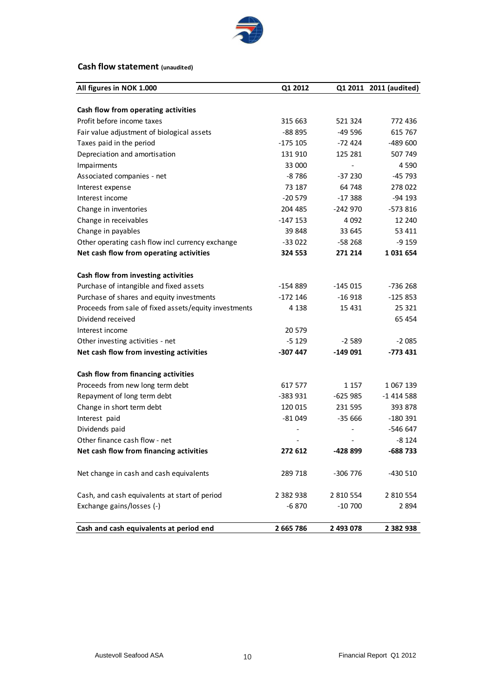

#### **Cash flow statement (unaudited)**

| All figures in NOK 1.000                              | Q1 2012    |           | Q1 2011 2011 (audited) |
|-------------------------------------------------------|------------|-----------|------------------------|
|                                                       |            |           |                        |
| Cash flow from operating activities                   |            |           |                        |
| Profit before income taxes                            | 315 663    | 521 324   | 772 436                |
| Fair value adjustment of biological assets            | $-88895$   | $-49596$  | 615 767                |
| Taxes paid in the period                              | $-175$ 105 | $-72424$  | -489 600               |
| Depreciation and amortisation                         | 131 910    | 125 281   | 507 749                |
| Impairments                                           | 33 000     |           | 4 5 9 0                |
| Associated companies - net                            | $-8786$    | $-37230$  | -45 793                |
| Interest expense                                      | 73 187     | 64 748    | 278 022                |
| Interest income                                       | $-20579$   | $-17388$  | $-94$ 193              |
| Change in inventories                                 | 204 485    | -242 970  | $-573816$              |
| Change in receivables                                 | $-147153$  | 4 092     | 12 240                 |
| Change in payables                                    | 39 848     | 33 645    | 53 411                 |
| Other operating cash flow incl currency exchange      | $-33022$   | $-58268$  | $-9159$                |
| Net cash flow from operating activities               | 324 553    | 271 214   | 1031654                |
|                                                       |            |           |                        |
| Cash flow from investing activities                   |            |           |                        |
| Purchase of intangible and fixed assets               | $-154889$  | -145 015  | -736 268               |
| Purchase of shares and equity investments             | $-172$ 146 | $-16918$  | $-125853$              |
| Proceeds from sale of fixed assets/equity investments | 4 138      | 15 4 31   | 25 3 21                |
| Dividend received                                     |            |           | 65 4 54                |
| Interest income                                       | 20579      |           |                        |
| Other investing activities - net                      | -5 129     | $-2589$   | $-2085$                |
| Net cash flow from investing activities               | -307 447   | $-149091$ | $-773431$              |
| Cash flow from financing activities                   |            |           |                        |
| Proceeds from new long term debt                      | 617 577    | 1 1 5 7   | 1 067 139              |
| Repayment of long term debt                           | $-383931$  | $-625985$ | $-1414588$             |
| Change in short term debt                             | 120 015    | 231 595   | 393 878                |
| Interest paid                                         | $-81049$   | $-35666$  | -180 391               |
| Dividends paid                                        |            |           | -546 647               |
| Other finance cash flow - net                         |            |           | $-8124$                |
| Net cash flow from financing activities               | 272 612    | -428 899  | -688 733               |
|                                                       |            |           |                        |
| Net change in cash and cash equivalents               | 289 718    | -306 776  | -430 510               |
| Cash, and cash equivalents at start of period         | 2 382 938  | 2 810 554 | 2 810 554              |
| Exchange gains/losses (-)                             | $-6870$    | $-10700$  | 2 8 9 4                |
|                                                       |            |           |                        |
| Cash and cash equivalents at period end               | 2 665 786  | 2 493 078 | 2 3 8 2 9 3 8          |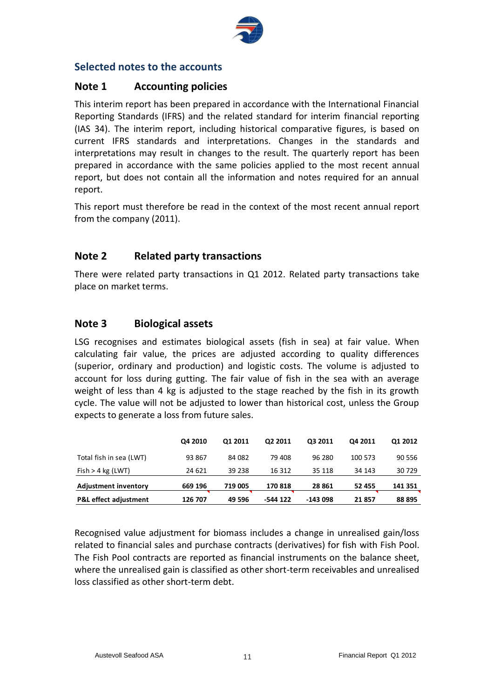

## **Selected notes to the accounts**

## **Note 1 Accounting policies**

This interim report has been prepared in accordance with the International Financial Reporting Standards (IFRS) and the related standard for interim financial reporting (IAS 34). The interim report, including historical comparative figures, is based on current IFRS standards and interpretations. Changes in the standards and interpretations may result in changes to the result. The quarterly report has been prepared in accordance with the same policies applied to the most recent annual report, but does not contain all the information and notes required for an annual report.

This report must therefore be read in the context of the most recent annual report from the company (2011).

## **Note 2 Related party transactions**

There were related party transactions in Q1 2012. Related party transactions take place on market terms.

## **Note 3 Biological assets**

LSG recognises and estimates biological assets (fish in sea) at fair value. When calculating fair value, the prices are adjusted according to quality differences (superior, ordinary and production) and logistic costs. The volume is adjusted to account for loss during gutting. The fair value of fish in the sea with an average weight of less than 4 kg is adjusted to the stage reached by the fish in its growth cycle. The value will not be adjusted to lower than historical cost, unless the Group expects to generate a loss from future sales.

|                                  | Q4 2010 | 01 2011 | Q2 2011  | Q3 2011  | Q4 2011 | Q1 2012 |
|----------------------------------|---------|---------|----------|----------|---------|---------|
| Total fish in sea (LWT)          | 93 867  | 84 082  | 79 408   | 96 280   | 100 573 | 90 556  |
| Fish > 4 kg (LWT)                | 24 621  | 39 238  | 16 312   | 35 118   | 34 143  | 30 729  |
| <b>Adjustment inventory</b>      | 669 196 | 719 005 | 170818   | 28 861   | 52 455  | 141 351 |
| <b>P&amp;L</b> effect adjustment | 126 707 | 49 596  | -544 122 | -143 098 | 21857   | 88 895  |

Recognised value adjustment for biomass includes a change in unrealised gain/loss related to financial sales and purchase contracts (derivatives) for fish with Fish Pool. The Fish Pool contracts are reported as financial instruments on the balance sheet, where the unrealised gain is classified as other short-term receivables and unrealised loss classified as other short-term debt.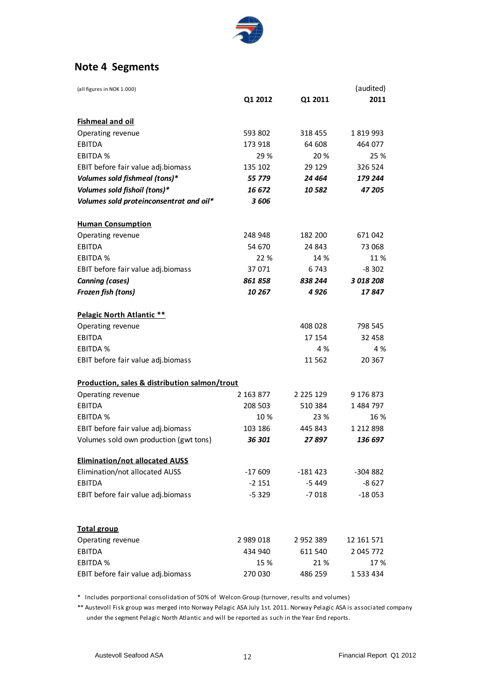

## **Note 4 Segments**

| (all figures in NOK 1.000)                    |           |               | (audited)  |
|-----------------------------------------------|-----------|---------------|------------|
|                                               | Q1 2012   | Q1 2011       | 2011       |
| <b>Fishmeal and oil</b>                       |           |               |            |
| Operating revenue                             | 593 802   | 318 455       | 1 819 993  |
| <b>EBITDA</b>                                 | 173 918   | 64 608        | 464 077    |
| <b>EBITDA %</b>                               | 29 %      | 20 %          | 25 %       |
| EBIT before fair value adj.biomass            | 135 102   | 29 129        | 326 524    |
| Volumes sold fishmeal (tons)*                 | 55 779    | 24 464        | 179 244    |
| Volumes sold fishoil (tons)*                  | 16 672    | 10 582        | 47 205     |
| Volumes sold proteinconsentrat and oil*       | 3606      |               |            |
| <b>Human Consumption</b>                      |           |               |            |
| Operating revenue                             | 248 948   | 182 200       | 671 042    |
| <b>EBITDA</b>                                 | 54 670    | 24 843        | 73 068     |
| <b>EBITDA %</b>                               | 22 %      | 14 %          | 11 %       |
| EBIT before fair value adj.biomass            | 37 071    | 6 743         | $-8302$    |
| <b>Canning (cases)</b>                        | 861 858   | 838 244       | 3 018 208  |
| Frozen fish (tons)                            | 10 267    | 4926          | 17 847     |
| Pelagic North Atlantic **                     |           |               |            |
| Operating revenue                             |           | 408 028       | 798 545    |
| <b>EBITDA</b>                                 |           | 17 154        | 32 458     |
| <b>EBITDA %</b>                               |           | 4 %           | 4 %        |
| EBIT before fair value adj.biomass            |           | 11 562        | 20 367     |
| Production, sales & distribution salmon/trout |           |               |            |
| Operating revenue                             | 2 163 877 | 2 2 2 5 1 2 9 | 9 176 873  |
| <b>EBITDA</b>                                 | 208 503   | 510 384       | 1 484 797  |
| <b>EBITDA %</b>                               | 10 %      | 23 %          | 16 %       |
| EBIT before fair value adj.biomass            | 103 186   | 445 843       | 1 212 898  |
| Volumes sold own production (gwt tons)        | 36 301    | 27 897        | 136 697    |
| <b>Elimination/not allocated AUSS</b>         |           |               |            |
| Elimination/not allocated AUSS                | $-17609$  | -181 423      | -304 882   |
| <b>EBITDA</b>                                 | $-2151$   | $-5449$       | $-8627$    |
| EBIT before fair value adj.biomass            | $-5329$   | $-7018$       | $-18053$   |
| <b>Total group</b>                            |           |               |            |
| Operating revenue                             | 2 989 018 | 2 9 5 2 3 8 9 | 12 161 571 |
| <b>EBITDA</b>                                 | 434 940   | 611 540       | 2 045 772  |
| <b>EBITDA %</b>                               | 15 %      | 21 %          | 17%        |
| EBIT before fair value adj.biomass            | 270 030   | 486 259       | 1 533 434  |

\* Includes porportional consolidation of 50% of Welcon Group (turnover, results and volumes)

\*\* Austevoll Fisk group was merged into Norway Pelagic ASA July 1st. 2011. Norway Pelagic ASA is associated company under the segment Pelagic North Atlantic and will be reported as such in the Year End reports.